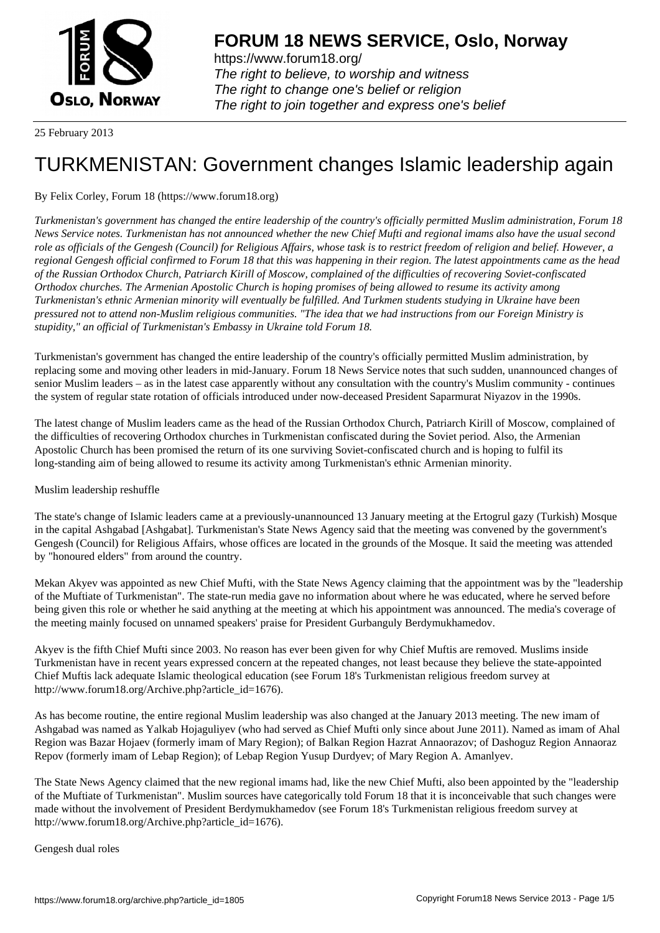

https://www.forum18.org/ The right to believe, to worship and witness The right to change one's belief or religion [The right to join together a](https://www.forum18.org/)nd express one's belief

25 February 2013

# [TURKMENISTA](https://www.forum18.org)N: Government changes Islamic leadership again

# By Felix Corley, Forum 18 (https://www.forum18.org)

*Turkmenistan's government has changed the entire leadership of the country's officially permitted Muslim administration, Forum 18 News Service notes. Turkmenistan has not announced whether the new Chief Mufti and regional imams also have the usual second role as officials of the Gengesh (Council) for Religious Affairs, whose task is to restrict freedom of religion and belief. However, a regional Gengesh official confirmed to Forum 18 that this was happening in their region. The latest appointments came as the head of the Russian Orthodox Church, Patriarch Kirill of Moscow, complained of the difficulties of recovering Soviet-confiscated Orthodox churches. The Armenian Apostolic Church is hoping promises of being allowed to resume its activity among Turkmenistan's ethnic Armenian minority will eventually be fulfilled. And Turkmen students studying in Ukraine have been pressured not to attend non-Muslim religious communities. "The idea that we had instructions from our Foreign Ministry is stupidity," an official of Turkmenistan's Embassy in Ukraine told Forum 18.*

Turkmenistan's government has changed the entire leadership of the country's officially permitted Muslim administration, by replacing some and moving other leaders in mid-January. Forum 18 News Service notes that such sudden, unannounced changes of senior Muslim leaders – as in the latest case apparently without any consultation with the country's Muslim community - continues the system of regular state rotation of officials introduced under now-deceased President Saparmurat Niyazov in the 1990s.

The latest change of Muslim leaders came as the head of the Russian Orthodox Church, Patriarch Kirill of Moscow, complained of the difficulties of recovering Orthodox churches in Turkmenistan confiscated during the Soviet period. Also, the Armenian Apostolic Church has been promised the return of its one surviving Soviet-confiscated church and is hoping to fulfil its long-standing aim of being allowed to resume its activity among Turkmenistan's ethnic Armenian minority.

# Muslim leadership reshuffle

The state's change of Islamic leaders came at a previously-unannounced 13 January meeting at the Ertogrul gazy (Turkish) Mosque in the capital Ashgabad [Ashgabat]. Turkmenistan's State News Agency said that the meeting was convened by the government's Gengesh (Council) for Religious Affairs, whose offices are located in the grounds of the Mosque. It said the meeting was attended by "honoured elders" from around the country.

Mekan Akyev was appointed as new Chief Mufti, with the State News Agency claiming that the appointment was by the "leadership of the Muftiate of Turkmenistan". The state-run media gave no information about where he was educated, where he served before being given this role or whether he said anything at the meeting at which his appointment was announced. The media's coverage of the meeting mainly focused on unnamed speakers' praise for President Gurbanguly Berdymukhamedov.

Akyev is the fifth Chief Mufti since 2003. No reason has ever been given for why Chief Muftis are removed. Muslims inside Turkmenistan have in recent years expressed concern at the repeated changes, not least because they believe the state-appointed Chief Muftis lack adequate Islamic theological education (see Forum 18's Turkmenistan religious freedom survey at http://www.forum18.org/Archive.php?article\_id=1676).

As has become routine, the entire regional Muslim leadership was also changed at the January 2013 meeting. The new imam of Ashgabad was named as Yalkab Hojaguliyev (who had served as Chief Mufti only since about June 2011). Named as imam of Ahal Region was Bazar Hojaev (formerly imam of Mary Region); of Balkan Region Hazrat Annaorazov; of Dashoguz Region Annaoraz Repov (formerly imam of Lebap Region); of Lebap Region Yusup Durdyev; of Mary Region A. Amanlyev.

The State News Agency claimed that the new regional imams had, like the new Chief Mufti, also been appointed by the "leadership of the Muftiate of Turkmenistan". Muslim sources have categorically told Forum 18 that it is inconceivable that such changes were made without the involvement of President Berdymukhamedov (see Forum 18's Turkmenistan religious freedom survey at http://www.forum18.org/Archive.php?article\_id=1676).

Gengesh dual roles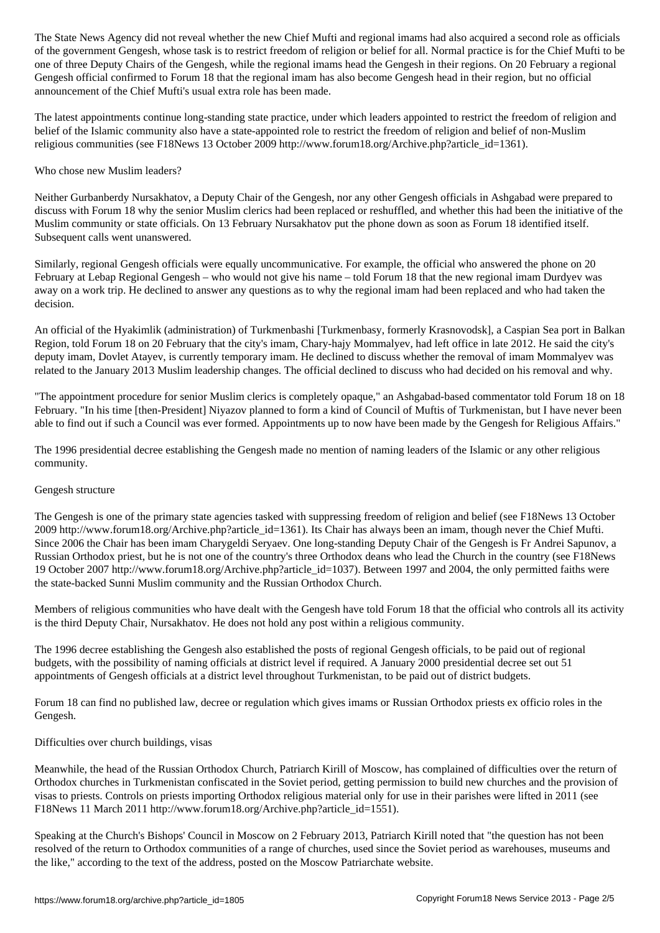of the government Gengesh, whose task is to restrict freedom of religion or belief for all. Normal practice is for the Chief Mufti to be one of three Deputy Chairs of the Gengesh, while the regional imams head the Gengesh in their regions. On 20 February a regional Gengesh official confirmed to Forum 18 that the regional imam has also become Gengesh head in their region, but no official announcement of the Chief Mufti's usual extra role has been made.

The latest appointments continue long-standing state practice, under which leaders appointed to restrict the freedom of religion and belief of the Islamic community also have a state-appointed role to restrict the freedom of religion and belief of non-Muslim religious communities (see F18News 13 October 2009 http://www.forum18.org/Archive.php?article\_id=1361).

#### Who chose new Muslim leaders?

Neither Gurbanberdy Nursakhatov, a Deputy Chair of the Gengesh, nor any other Gengesh officials in Ashgabad were prepared to discuss with Forum 18 why the senior Muslim clerics had been replaced or reshuffled, and whether this had been the initiative of the Muslim community or state officials. On 13 February Nursakhatov put the phone down as soon as Forum 18 identified itself. Subsequent calls went unanswered.

Similarly, regional Gengesh officials were equally uncommunicative. For example, the official who answered the phone on 20 February at Lebap Regional Gengesh – who would not give his name – told Forum 18 that the new regional imam Durdyev was away on a work trip. He declined to answer any questions as to why the regional imam had been replaced and who had taken the decision.

An official of the Hyakimlik (administration) of Turkmenbashi [Turkmenbasy, formerly Krasnovodsk], a Caspian Sea port in Balkan Region, told Forum 18 on 20 February that the city's imam, Chary-hajy Mommalyev, had left office in late 2012. He said the city's deputy imam, Dovlet Atayev, is currently temporary imam. He declined to discuss whether the removal of imam Mommalyev was related to the January 2013 Muslim leadership changes. The official declined to discuss who had decided on his removal and why.

"The appointment procedure for senior Muslim clerics is completely opaque," an Ashgabad-based commentator told Forum 18 on 18 February. "In his time [then-President] Niyazov planned to form a kind of Council of Muftis of Turkmenistan, but I have never been able to find out if such a Council was ever formed. Appointments up to now have been made by the Gengesh for Religious Affairs."

The 1996 presidential decree establishing the Gengesh made no mention of naming leaders of the Islamic or any other religious community.

#### Gengesh structure

The Gengesh is one of the primary state agencies tasked with suppressing freedom of religion and belief (see F18News 13 October 2009 http://www.forum18.org/Archive.php?article\_id=1361). Its Chair has always been an imam, though never the Chief Mufti. Since 2006 the Chair has been imam Charygeldi Seryaev. One long-standing Deputy Chair of the Gengesh is Fr Andrei Sapunov, a Russian Orthodox priest, but he is not one of the country's three Orthodox deans who lead the Church in the country (see F18News 19 October 2007 http://www.forum18.org/Archive.php?article\_id=1037). Between 1997 and 2004, the only permitted faiths were the state-backed Sunni Muslim community and the Russian Orthodox Church.

Members of religious communities who have dealt with the Gengesh have told Forum 18 that the official who controls all its activity is the third Deputy Chair, Nursakhatov. He does not hold any post within a religious community.

The 1996 decree establishing the Gengesh also established the posts of regional Gengesh officials, to be paid out of regional budgets, with the possibility of naming officials at district level if required. A January 2000 presidential decree set out 51 appointments of Gengesh officials at a district level throughout Turkmenistan, to be paid out of district budgets.

Forum 18 can find no published law, decree or regulation which gives imams or Russian Orthodox priests ex officio roles in the Gengesh.

## Difficulties over church buildings, visas

Meanwhile, the head of the Russian Orthodox Church, Patriarch Kirill of Moscow, has complained of difficulties over the return of Orthodox churches in Turkmenistan confiscated in the Soviet period, getting permission to build new churches and the provision of visas to priests. Controls on priests importing Orthodox religious material only for use in their parishes were lifted in 2011 (see F18News 11 March 2011 http://www.forum18.org/Archive.php?article\_id=1551).

Speaking at the Church's Bishops' Council in Moscow on 2 February 2013, Patriarch Kirill noted that "the question has not been resolved of the return to Orthodox communities of a range of churches, used since the Soviet period as warehouses, museums and the like," according to the text of the address, posted on the Moscow Patriarchate website.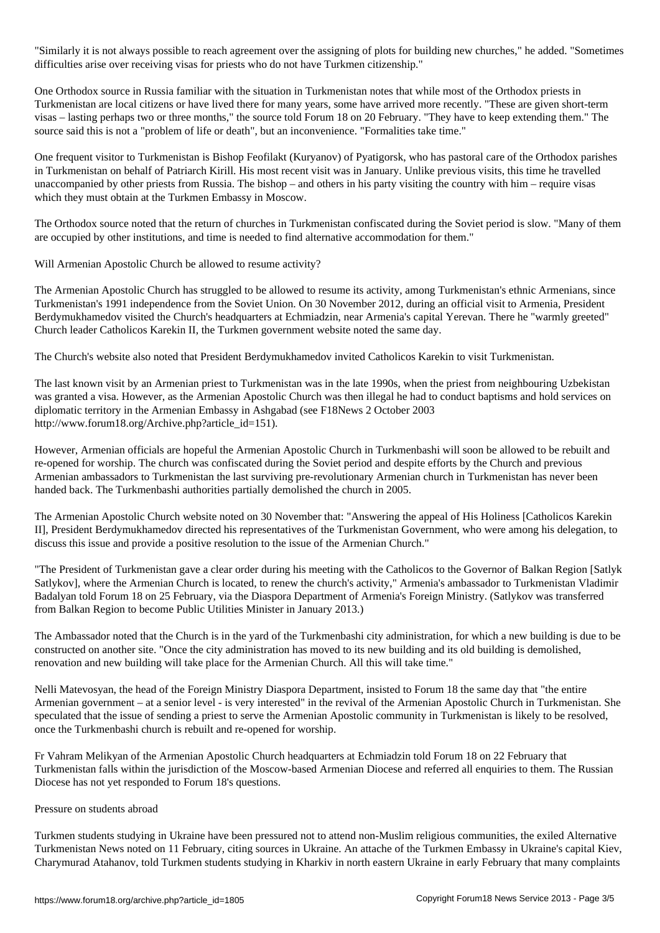"Similarly it is not always possible to reach agreement over the assigning of plots for building new churches," he added. "Sometimes difficulties arise over receiving visas for priests who do not have Turkmen citizenship."

One Orthodox source in Russia familiar with the situation in Turkmenistan notes that while most of the Orthodox priests in Turkmenistan are local citizens or have lived there for many years, some have arrived more recently. "These are given short-term visas – lasting perhaps two or three months," the source told Forum 18 on 20 February. "They have to keep extending them." The source said this is not a "problem of life or death", but an inconvenience. "Formalities take time."

One frequent visitor to Turkmenistan is Bishop Feofilakt (Kuryanov) of Pyatigorsk, who has pastoral care of the Orthodox parishes in Turkmenistan on behalf of Patriarch Kirill. His most recent visit was in January. Unlike previous visits, this time he travelled unaccompanied by other priests from Russia. The bishop – and others in his party visiting the country with him – require visas which they must obtain at the Turkmen Embassy in Moscow.

The Orthodox source noted that the return of churches in Turkmenistan confiscated during the Soviet period is slow. "Many of them are occupied by other institutions, and time is needed to find alternative accommodation for them."

Will Armenian Apostolic Church be allowed to resume activity?

The Armenian Apostolic Church has struggled to be allowed to resume its activity, among Turkmenistan's ethnic Armenians, since Turkmenistan's 1991 independence from the Soviet Union. On 30 November 2012, during an official visit to Armenia, President Berdymukhamedov visited the Church's headquarters at Echmiadzin, near Armenia's capital Yerevan. There he "warmly greeted" Church leader Catholicos Karekin II, the Turkmen government website noted the same day.

The Church's website also noted that President Berdymukhamedov invited Catholicos Karekin to visit Turkmenistan.

The last known visit by an Armenian priest to Turkmenistan was in the late 1990s, when the priest from neighbouring Uzbekistan was granted a visa. However, as the Armenian Apostolic Church was then illegal he had to conduct baptisms and hold services on diplomatic territory in the Armenian Embassy in Ashgabad (see F18News 2 October 2003 http://www.forum18.org/Archive.php?article\_id=151).

However, Armenian officials are hopeful the Armenian Apostolic Church in Turkmenbashi will soon be allowed to be rebuilt and re-opened for worship. The church was confiscated during the Soviet period and despite efforts by the Church and previous Armenian ambassadors to Turkmenistan the last surviving pre-revolutionary Armenian church in Turkmenistan has never been handed back. The Turkmenbashi authorities partially demolished the church in 2005.

The Armenian Apostolic Church website noted on 30 November that: "Answering the appeal of His Holiness [Catholicos Karekin II], President Berdymukhamedov directed his representatives of the Turkmenistan Government, who were among his delegation, to discuss this issue and provide a positive resolution to the issue of the Armenian Church."

"The President of Turkmenistan gave a clear order during his meeting with the Catholicos to the Governor of Balkan Region [Satlyk Satlykov], where the Armenian Church is located, to renew the church's activity," Armenia's ambassador to Turkmenistan Vladimir Badalyan told Forum 18 on 25 February, via the Diaspora Department of Armenia's Foreign Ministry. (Satlykov was transferred from Balkan Region to become Public Utilities Minister in January 2013.)

The Ambassador noted that the Church is in the yard of the Turkmenbashi city administration, for which a new building is due to be constructed on another site. "Once the city administration has moved to its new building and its old building is demolished, renovation and new building will take place for the Armenian Church. All this will take time."

Nelli Matevosyan, the head of the Foreign Ministry Diaspora Department, insisted to Forum 18 the same day that "the entire Armenian government – at a senior level - is very interested" in the revival of the Armenian Apostolic Church in Turkmenistan. She speculated that the issue of sending a priest to serve the Armenian Apostolic community in Turkmenistan is likely to be resolved, once the Turkmenbashi church is rebuilt and re-opened for worship.

Fr Vahram Melikyan of the Armenian Apostolic Church headquarters at Echmiadzin told Forum 18 on 22 February that Turkmenistan falls within the jurisdiction of the Moscow-based Armenian Diocese and referred all enquiries to them. The Russian Diocese has not yet responded to Forum 18's questions.

## Pressure on students abroad

Turkmen students studying in Ukraine have been pressured not to attend non-Muslim religious communities, the exiled Alternative Turkmenistan News noted on 11 February, citing sources in Ukraine. An attache of the Turkmen Embassy in Ukraine's capital Kiev, Charymurad Atahanov, told Turkmen students studying in Kharkiv in north eastern Ukraine in early February that many complaints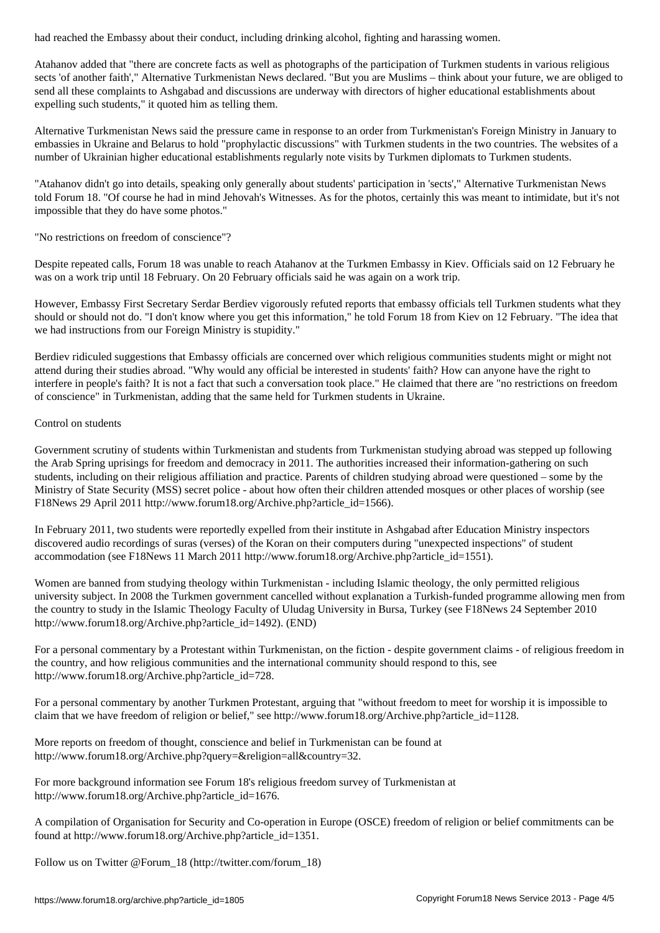Atahanov added that "there are concrete facts as well as photographs of the participation of Turkmen students in various religious sects 'of another faith'," Alternative Turkmenistan News declared. "But you are Muslims – think about your future, we are obliged to send all these complaints to Ashgabad and discussions are underway with directors of higher educational establishments about expelling such students," it quoted him as telling them.

Alternative Turkmenistan News said the pressure came in response to an order from Turkmenistan's Foreign Ministry in January to embassies in Ukraine and Belarus to hold "prophylactic discussions" with Turkmen students in the two countries. The websites of a number of Ukrainian higher educational establishments regularly note visits by Turkmen diplomats to Turkmen students.

"Atahanov didn't go into details, speaking only generally about students' participation in 'sects'," Alternative Turkmenistan News told Forum 18. "Of course he had in mind Jehovah's Witnesses. As for the photos, certainly this was meant to intimidate, but it's not impossible that they do have some photos."

"No restrictions on freedom of conscience"?

Despite repeated calls, Forum 18 was unable to reach Atahanov at the Turkmen Embassy in Kiev. Officials said on 12 February he was on a work trip until 18 February. On 20 February officials said he was again on a work trip.

However, Embassy First Secretary Serdar Berdiev vigorously refuted reports that embassy officials tell Turkmen students what they should or should not do. "I don't know where you get this information," he told Forum 18 from Kiev on 12 February. "The idea that we had instructions from our Foreign Ministry is stupidity."

Berdiev ridiculed suggestions that Embassy officials are concerned over which religious communities students might or might not attend during their studies abroad. "Why would any official be interested in students' faith? How can anyone have the right to interfere in people's faith? It is not a fact that such a conversation took place." He claimed that there are "no restrictions on freedom of conscience" in Turkmenistan, adding that the same held for Turkmen students in Ukraine.

Control on students

Government scrutiny of students within Turkmenistan and students from Turkmenistan studying abroad was stepped up following the Arab Spring uprisings for freedom and democracy in 2011. The authorities increased their information-gathering on such students, including on their religious affiliation and practice. Parents of children studying abroad were questioned – some by the Ministry of State Security (MSS) secret police - about how often their children attended mosques or other places of worship (see F18News 29 April 2011 http://www.forum18.org/Archive.php?article\_id=1566).

In February 2011, two students were reportedly expelled from their institute in Ashgabad after Education Ministry inspectors discovered audio recordings of suras (verses) of the Koran on their computers during "unexpected inspections" of student accommodation (see F18News 11 March 2011 http://www.forum18.org/Archive.php?article\_id=1551).

Women are banned from studying theology within Turkmenistan - including Islamic theology, the only permitted religious university subject. In 2008 the Turkmen government cancelled without explanation a Turkish-funded programme allowing men from the country to study in the Islamic Theology Faculty of Uludag University in Bursa, Turkey (see F18News 24 September 2010 http://www.forum18.org/Archive.php?article\_id=1492). (END)

For a personal commentary by a Protestant within Turkmenistan, on the fiction - despite government claims - of religious freedom in the country, and how religious communities and the international community should respond to this, see http://www.forum18.org/Archive.php?article\_id=728.

For a personal commentary by another Turkmen Protestant, arguing that "without freedom to meet for worship it is impossible to claim that we have freedom of religion or belief," see http://www.forum18.org/Archive.php?article\_id=1128.

More reports on freedom of thought, conscience and belief in Turkmenistan can be found at http://www.forum18.org/Archive.php?query=&religion=all&country=32.

For more background information see Forum 18's religious freedom survey of Turkmenistan at http://www.forum18.org/Archive.php?article\_id=1676.

A compilation of Organisation for Security and Co-operation in Europe (OSCE) freedom of religion or belief commitments can be found at http://www.forum18.org/Archive.php?article\_id=1351.

Follow us on Twitter @Forum\_18 (http://twitter.com/forum\_18)